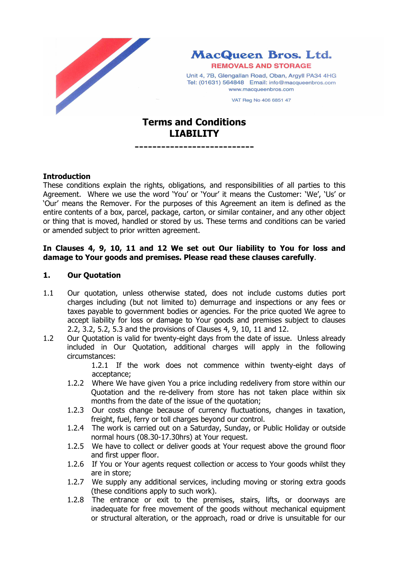



**REMOVALS AND STORAGE** 

Unit 4, 7B, Glengallan Road, Oban, Argyll PA34 4HG Tel: (01631) 564848 Email: info@macqueenbros.com www.macqueenbros.com

VAT Reg No 406 6851 47

# Terms and Conditions LIABILITY

---------------------------

#### **Introduction**

These conditions explain the rights, obligations, and responsibilities of all parties to this Agreement. Where we use the word 'You' or 'Your' it means the Customer: 'We', 'Us' or 'Our' means the Remover. For the purposes of this Agreement an item is defined as the entire contents of a box, parcel, package, carton, or similar container, and any other object or thing that is moved, handled or stored by us. These terms and conditions can be varied or amended subject to prior written agreement.

#### In Clauses 4, 9, 10, 11 and 12 We set out Our liability to You for loss and damage to Your goods and premises. Please read these clauses carefully.

#### 1. Our Quotation

- 1.1 Our quotation, unless otherwise stated, does not include customs duties port charges including (but not limited to) demurrage and inspections or any fees or taxes payable to government bodies or agencies. For the price quoted We agree to accept liability for loss or damage to Your goods and premises subject to clauses 2.2, 3.2, 5.2, 5.3 and the provisions of Clauses 4, 9, 10, 11 and 12.
- 1.2 Our Quotation is valid for twenty-eight days from the date of issue. Unless already included in Our Quotation, additional charges will apply in the following circumstances:

1.2.1 If the work does not commence within twenty-eight days of acceptance;

- 1.2.2 Where We have given You a price including redelivery from store within our Quotation and the re-delivery from store has not taken place within six months from the date of the issue of the quotation;
- 1.2.3 Our costs change because of currency fluctuations, changes in taxation, freight, fuel, ferry or toll charges beyond our control.
- 1.2.4 The work is carried out on a Saturday, Sunday, or Public Holiday or outside normal hours (08.30-17.30hrs) at Your request.
- 1.2.5 We have to collect or deliver goods at Your request above the ground floor and first upper floor.
- 1.2.6 If You or Your agents request collection or access to Your goods whilst they are in store;
- 1.2.7 We supply any additional services, including moving or storing extra goods (these conditions apply to such work).
- 1.2.8 The entrance or exit to the premises, stairs, lifts, or doorways are inadequate for free movement of the goods without mechanical equipment or structural alteration, or the approach, road or drive is unsuitable for our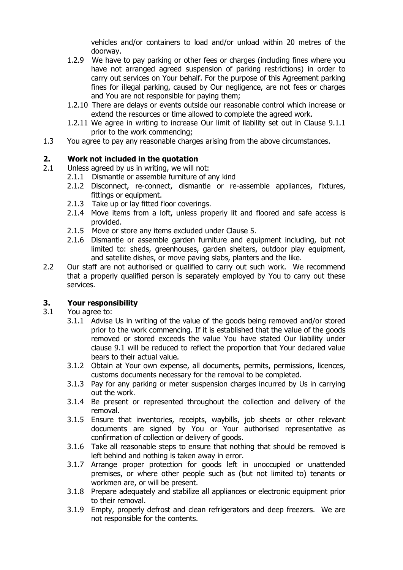vehicles and/or containers to load and/or unload within 20 metres of the doorway.

- 1.2.9 We have to pay parking or other fees or charges (including fines where you have not arranged agreed suspension of parking restrictions) in order to carry out services on Your behalf. For the purpose of this Agreement parking fines for illegal parking, caused by Our negligence, are not fees or charges and You are not responsible for paying them;
- 1.2.10 There are delays or events outside our reasonable control which increase or extend the resources or time allowed to complete the agreed work.
- 1.2.11 We agree in writing to increase Our limit of liability set out in Clause 9.1.1 prior to the work commencing;
- 1.3 You agree to pay any reasonable charges arising from the above circumstances.

## 2. Work not included in the quotation

- 2.1 Unless agreed by us in writing, we will not:
	- 2.1.1 Dismantle or assemble furniture of any kind
	- 2.1.2 Disconnect, re-connect, dismantle or re-assemble appliances, fixtures, fittings or equipment.
	- 2.1.3 Take up or lay fitted floor coverings.
	- 2.1.4 Move items from a loft, unless properly lit and floored and safe access is provided.
	- 2.1.5 Move or store any items excluded under Clause 5.
	- 2.1.6 Dismantle or assemble garden furniture and equipment including, but not limited to: sheds, greenhouses, garden shelters, outdoor play equipment, and satellite dishes, or move paving slabs, planters and the like.
- 2.2 Our staff are not authorised or qualified to carry out such work. We recommend that a properly qualified person is separately employed by You to carry out these services.

## 3. Your responsibility

- 3.1 You agree to:
	- 3.1.1 Advise Us in writing of the value of the goods being removed and/or stored prior to the work commencing. If it is established that the value of the goods removed or stored exceeds the value You have stated Our liability under clause 9.1 will be reduced to reflect the proportion that Your declared value bears to their actual value.
	- 3.1.2 Obtain at Your own expense, all documents, permits, permissions, licences, customs documents necessary for the removal to be completed.
	- 3.1.3 Pay for any parking or meter suspension charges incurred by Us in carrying out the work.
	- 3.1.4 Be present or represented throughout the collection and delivery of the removal.
	- 3.1.5 Ensure that inventories, receipts, waybills, job sheets or other relevant documents are signed by You or Your authorised representative as confirmation of collection or delivery of goods.
	- 3.1.6 Take all reasonable steps to ensure that nothing that should be removed is left behind and nothing is taken away in error.
	- 3.1.7 Arrange proper protection for goods left in unoccupied or unattended premises, or where other people such as (but not limited to) tenants or workmen are, or will be present.
	- 3.1.8 Prepare adequately and stabilize all appliances or electronic equipment prior to their removal.
	- 3.1.9 Empty, properly defrost and clean refrigerators and deep freezers. We are not responsible for the contents.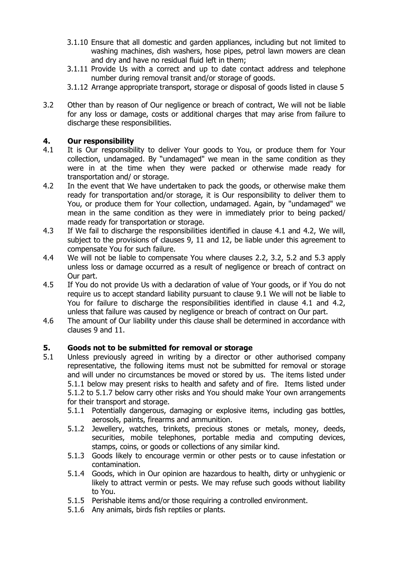- 3.1.10 Ensure that all domestic and garden appliances, including but not limited to washing machines, dish washers, hose pipes, petrol lawn mowers are clean and dry and have no residual fluid left in them;
- 3.1.11 Provide Us with a correct and up to date contact address and telephone number during removal transit and/or storage of goods.
- 3.1.12 Arrange appropriate transport, storage or disposal of goods listed in clause 5
- 3.2 Other than by reason of Our negligence or breach of contract, We will not be liable for any loss or damage, costs or additional charges that may arise from failure to discharge these responsibilities.

## 4. Our responsibility

- 4.1 It is Our responsibility to deliver Your goods to You, or produce them for Your collection, undamaged. By "undamaged" we mean in the same condition as they were in at the time when they were packed or otherwise made ready for transportation and/ or storage.
- 4.2 In the event that We have undertaken to pack the goods, or otherwise make them ready for transportation and/or storage, it is Our responsibility to deliver them to You, or produce them for Your collection, undamaged. Again, by "undamaged" we mean in the same condition as they were in immediately prior to being packed/ made ready for transportation or storage.
- 4.3 If We fail to discharge the responsibilities identified in clause 4.1 and 4.2, We will, subject to the provisions of clauses 9, 11 and 12, be liable under this agreement to compensate You for such failure.
- 4.4 We will not be liable to compensate You where clauses 2.2, 3.2, 5.2 and 5.3 apply unless loss or damage occurred as a result of negligence or breach of contract on Our part.
- 4.5 If You do not provide Us with a declaration of value of Your goods, or if You do not require us to accept standard liability pursuant to clause 9.1 We will not be liable to You for failure to discharge the responsibilities identified in clause 4.1 and 4.2, unless that failure was caused by negligence or breach of contract on Our part.
- 4.6 The amount of Our liability under this clause shall be determined in accordance with clauses 9 and 11.

#### 5. Goods not to be submitted for removal or storage

- 5.1 Unless previously agreed in writing by a director or other authorised company representative, the following items must not be submitted for removal or storage and will under no circumstances be moved or stored by us. The items listed under 5.1.1 below may present risks to health and safety and of fire. Items listed under 5.1.2 to 5.1.7 below carry other risks and You should make Your own arrangements for their transport and storage.
	- 5.1.1 Potentially dangerous, damaging or explosive items, including gas bottles, aerosols, paints, firearms and ammunition.
	- 5.1.2 Jewellery, watches, trinkets, precious stones or metals, money, deeds, securities, mobile telephones, portable media and computing devices, stamps, coins, or goods or collections of any similar kind.
	- 5.1.3 Goods likely to encourage vermin or other pests or to cause infestation or contamination.
	- 5.1.4 Goods, which in Our opinion are hazardous to health, dirty or unhygienic or likely to attract vermin or pests. We may refuse such goods without liability to You.
	- 5.1.5 Perishable items and/or those requiring a controlled environment.
	- 5.1.6 Any animals, birds fish reptiles or plants.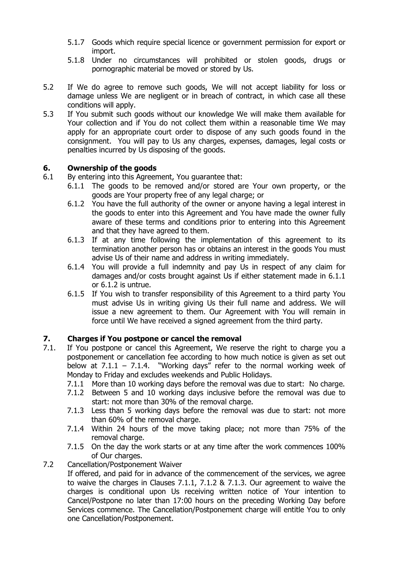- 5.1.7 Goods which require special licence or government permission for export or import.
- 5.1.8 Under no circumstances will prohibited or stolen goods, drugs or pornographic material be moved or stored by Us.
- 5.2 If We do agree to remove such goods, We will not accept liability for loss or damage unless We are negligent or in breach of contract, in which case all these conditions will apply.
- 5.3 If You submit such goods without our knowledge We will make them available for Your collection and if You do not collect them within a reasonable time We may apply for an appropriate court order to dispose of any such goods found in the consignment. You will pay to Us any charges, expenses, damages, legal costs or penalties incurred by Us disposing of the goods.

## 6. Ownership of the goods

- 6.1 By entering into this Agreement, You guarantee that:
	- 6.1.1 The goods to be removed and/or stored are Your own property, or the goods are Your property free of any legal charge; or
	- 6.1.2 You have the full authority of the owner or anyone having a legal interest in the goods to enter into this Agreement and You have made the owner fully aware of these terms and conditions prior to entering into this Agreement and that they have agreed to them.
	- 6.1.3 If at any time following the implementation of this agreement to its termination another person has or obtains an interest in the goods You must advise Us of their name and address in writing immediately.
	- 6.1.4 You will provide a full indemnity and pay Us in respect of any claim for damages and/or costs brought against Us if either statement made in 6.1.1 or 6.1.2 is untrue.
	- 6.1.5 If You wish to transfer responsibility of this Agreement to a third party You must advise Us in writing giving Us their full name and address. We will issue a new agreement to them. Our Agreement with You will remain in force until We have received a signed agreement from the third party.

# 7. Charges if You postpone or cancel the removal

- 7.1. If You postpone or cancel this Agreement, We reserve the right to charge you a postponement or cancellation fee according to how much notice is given as set out below at  $7.1.1 - 7.1.4$ . "Working days" refer to the normal working week of Monday to Friday and excludes weekends and Public Holidays.
	- 7.1.1 More than 10 working days before the removal was due to start: No charge.
	- 7.1.2 Between 5 and 10 working days inclusive before the removal was due to start: not more than 30% of the removal charge.
	- 7.1.3 Less than 5 working days before the removal was due to start: not more than 60% of the removal charge.
	- 7.1.4 Within 24 hours of the move taking place; not more than 75% of the removal charge.
	- 7.1.5 On the day the work starts or at any time after the work commences 100% of Our charges.

## 7.2 Cancellation/Postponement Waiver

If offered, and paid for in advance of the commencement of the services, we agree to waive the charges in Clauses 7.1.1, 7.1.2 & 7.1.3. Our agreement to waive the charges is conditional upon Us receiving written notice of Your intention to Cancel/Postpone no later than 17:00 hours on the preceding Working Day before Services commence. The Cancellation/Postponement charge will entitle You to only one Cancellation/Postponement.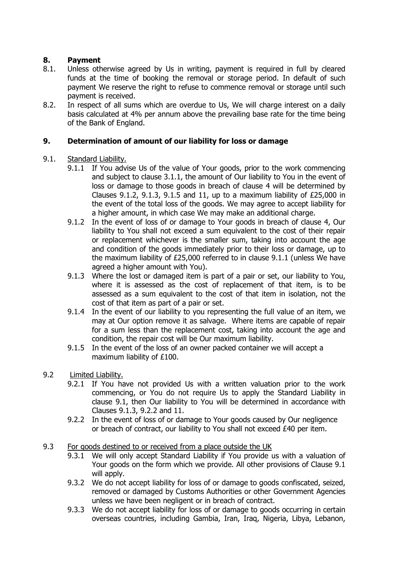# 8. Payment

- 8.1. Unless otherwise agreed by Us in writing, payment is required in full by cleared funds at the time of booking the removal or storage period. In default of such payment We reserve the right to refuse to commence removal or storage until such payment is received.
- 8.2. In respect of all sums which are overdue to Us, We will charge interest on a daily basis calculated at 4% per annum above the prevailing base rate for the time being of the Bank of England.

## 9. Determination of amount of our liability for loss or damage

## 9.1. Standard Liability.

- 9.1.1 If You advise Us of the value of Your goods, prior to the work commencing and subject to clause 3.1.1, the amount of Our liability to You in the event of loss or damage to those goods in breach of clause 4 will be determined by Clauses 9.1.2, 9.1.3, 9.1.5 and 11, up to a maximum liability of  $£25,000$  in the event of the total loss of the goods. We may agree to accept liability for a higher amount, in which case We may make an additional charge.
- 9.1.2 In the event of loss of or damage to Your goods in breach of clause 4, Our liability to You shall not exceed a sum equivalent to the cost of their repair or replacement whichever is the smaller sum, taking into account the age and condition of the goods immediately prior to their loss or damage, up to the maximum liability of £25,000 referred to in clause 9.1.1 (unless We have agreed a higher amount with You).
- 9.1.3 Where the lost or damaged item is part of a pair or set, our liability to You, where it is assessed as the cost of replacement of that item, is to be assessed as a sum equivalent to the cost of that item in isolation, not the cost of that item as part of a pair or set.
- 9.1.4 In the event of our liability to you representing the full value of an item, we may at Our option remove it as salvage. Where items are capable of repair for a sum less than the replacement cost, taking into account the age and condition, the repair cost will be Our maximum liability.
- 9.1.5 In the event of the loss of an owner packed container we will accept a maximum liability of £100.
- 9.2 Limited Liability.
	- 9.2.1 If You have not provided Us with a written valuation prior to the work commencing, or You do not require Us to apply the Standard Liability in clause 9.1, then Our liability to You will be determined in accordance with Clauses 9.1.3, 9.2.2 and 11.
	- 9.2.2 In the event of loss of or damage to Your goods caused by Our negligence or breach of contract, our liability to You shall not exceed £40 per item.

## 9.3 For goods destined to or received from a place outside the UK

- 9.3.1 We will only accept Standard Liability if You provide us with a valuation of Your goods on the form which we provide. All other provisions of Clause 9.1 will apply.
- 9.3.2 We do not accept liability for loss of or damage to goods confiscated, seized, removed or damaged by Customs Authorities or other Government Agencies unless we have been negligent or in breach of contract.
- 9.3.3 We do not accept liability for loss of or damage to goods occurring in certain overseas countries, including Gambia, Iran, Iraq, Nigeria, Libya, Lebanon,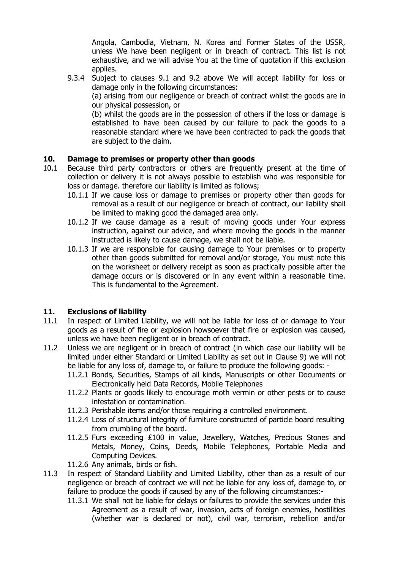Angola, Cambodia, Vietnam, N. Korea and Former States of the USSR, unless We have been negligent or in breach of contract. This list is not exhaustive, and we will advise You at the time of quotation if this exclusion applies.

9.3.4 Subject to clauses 9.1 and 9.2 above We will accept liability for loss or damage only in the following circumstances:

(a) arising from our negligence or breach of contract whilst the goods are in our physical possession, or

(b) whilst the goods are in the possession of others if the loss or damage is established to have been caused by our failure to pack the goods to a reasonable standard where we have been contracted to pack the goods that are subject to the claim.

## 10. Damage to premises or property other than goods

- 10.1 Because third party contractors or others are frequently present at the time of collection or delivery it is not always possible to establish who was responsible for loss or damage. therefore our liability is limited as follows;
	- 10.1.1 If we cause loss or damage to premises or property other than goods for removal as a result of our negligence or breach of contract, our liability shall be limited to making good the damaged area only.
	- 10.1.2 If we cause damage as a result of moving goods under Your express instruction, against our advice, and where moving the goods in the manner instructed is likely to cause damage, we shall not be liable.
	- 10.1.3 If we are responsible for causing damage to Your premises or to property other than goods submitted for removal and/or storage, You must note this on the worksheet or delivery receipt as soon as practically possible after the damage occurs or is discovered or in any event within a reasonable time. This is fundamental to the Agreement.

## 11. Exclusions of liability

- 11.1 In respect of Limited Liability, we will not be liable for loss of or damage to Your goods as a result of fire or explosion howsoever that fire or explosion was caused, unless we have been negligent or in breach of contract.
- 11.2 Unless we are negligent or in breach of contract (in which case our liability will be limited under either Standard or Limited Liability as set out in Clause 9) we will not be liable for any loss of, damage to, or failure to produce the following goods: -
	- 11.2.1 Bonds, Securities, Stamps of all kinds, Manuscripts or other Documents or Electronically held Data Records, Mobile Telephones
	- 11.2.2 Plants or goods likely to encourage moth vermin or other pests or to cause infestation or contamination.
	- 11.2.3 Perishable items and/or those requiring a controlled environment.
	- 11.2.4 Loss of structural integrity of furniture constructed of particle board resulting from crumbling of the board.
	- 11.2.5 Furs exceeding £100 in value, Jewellery, Watches, Precious Stones and Metals, Money, Coins, Deeds, Mobile Telephones, Portable Media and Computing Devices.

11.2.6 Any animals, birds or fish.

- 11.3 In respect of Standard Liability and Limited Liability, other than as a result of our negligence or breach of contract we will not be liable for any loss of, damage to, or failure to produce the goods if caused by any of the following circumstances:-
	- 11.3.1 We shall not be liable for delays or failures to provide the services under this Agreement as a result of war, invasion, acts of foreign enemies, hostilities (whether war is declared or not), civil war, terrorism, rebellion and/or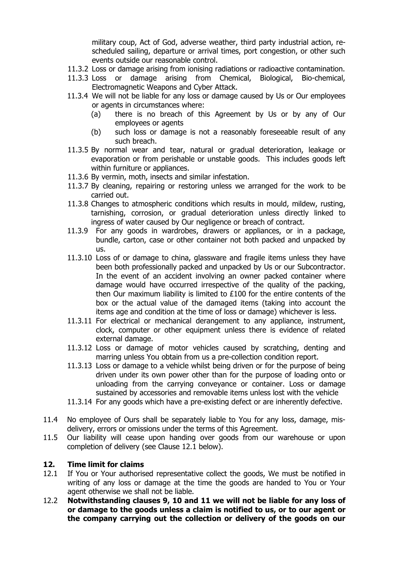military coup, Act of God, adverse weather, third party industrial action, rescheduled sailing, departure or arrival times, port congestion, or other such events outside our reasonable control.

- 11.3.2 Loss or damage arising from ionising radiations or radioactive contamination.
- 11.3.3 Loss or damage arising from Chemical, Biological, Bio-chemical, Electromagnetic Weapons and Cyber Attack.
- 11.3.4 We will not be liable for any loss or damage caused by Us or Our employees or agents in circumstances where:
	- (a) there is no breach of this Agreement by Us or by any of Our employees or agents
	- (b) such loss or damage is not a reasonably foreseeable result of any such breach.
- 11.3.5 By normal wear and tear, natural or gradual deterioration, leakage or evaporation or from perishable or unstable goods. This includes goods left within furniture or appliances.
- 11.3.6 By vermin, moth, insects and similar infestation.
- 11.3.7 By cleaning, repairing or restoring unless we arranged for the work to be carried out.
- 11.3.8 Changes to atmospheric conditions which results in mould, mildew, rusting, tarnishing, corrosion, or gradual deterioration unless directly linked to ingress of water caused by Our negligence or breach of contract.
- 11.3.9 For any goods in wardrobes, drawers or appliances, or in a package, bundle, carton, case or other container not both packed and unpacked by us.
- 11.3.10 Loss of or damage to china, glassware and fragile items unless they have been both professionally packed and unpacked by Us or our Subcontractor. In the event of an accident involving an owner packed container where damage would have occurred irrespective of the quality of the packing, then Our maximum liability is limited to £100 for the entire contents of the box or the actual value of the damaged items (taking into account the items age and condition at the time of loss or damage) whichever is less.
- 11.3.11 For electrical or mechanical derangement to any appliance, instrument, clock, computer or other equipment unless there is evidence of related external damage.
- 11.3.12 Loss or damage of motor vehicles caused by scratching, denting and marring unless You obtain from us a pre-collection condition report.
- 11.3.13 Loss or damage to a vehicle whilst being driven or for the purpose of being driven under its own power other than for the purpose of loading onto or unloading from the carrying conveyance or container. Loss or damage sustained by accessories and removable items unless lost with the vehicle
- 11.3.14 For any goods which have a pre-existing defect or are inherently defective.
- 11.4 No employee of Ours shall be separately liable to You for any loss, damage, misdelivery, errors or omissions under the terms of this Agreement.
- 11.5 Our liability will cease upon handing over goods from our warehouse or upon completion of delivery (see Clause 12.1 below).

#### 12. Time limit for claims

- 12.1 If You or Your authorised representative collect the goods, We must be notified in writing of any loss or damage at the time the goods are handed to You or Your agent otherwise we shall not be liable.
- 12.2 Notwithstanding clauses 9, 10 and 11 we will not be liable for any loss of or damage to the goods unless a claim is notified to us, or to our agent or the company carrying out the collection or delivery of the goods on our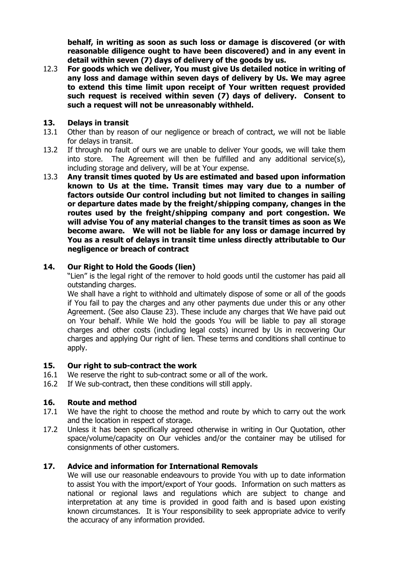behalf, in writing as soon as such loss or damage is discovered (or with reasonable diligence ought to have been discovered) and in any event in detail within seven (7) days of delivery of the goods by us.

12.3 For goods which we deliver, You must give Us detailed notice in writing of any loss and damage within seven days of delivery by Us. We may agree to extend this time limit upon receipt of Your written request provided such request is received within seven (7) days of delivery. Consent to such a request will not be unreasonably withheld.

#### 13. Delays in transit

- 13.1 Other than by reason of our negligence or breach of contract, we will not be liable for delays in transit.
- 13.2 If through no fault of ours we are unable to deliver Your goods, we will take them into store. The Agreement will then be fulfilled and any additional service(s), including storage and delivery, will be at Your expense.
- 13.3 Any transit times quoted by Us are estimated and based upon information known to Us at the time. Transit times may vary due to a number of factors outside Our control including but not limited to changes in sailing or departure dates made by the freight/shipping company, changes in the routes used by the freight/shipping company and port congestion. We will advise You of any material changes to the transit times as soon as We become aware. We will not be liable for any loss or damage incurred by You as a result of delays in transit time unless directly attributable to Our negligence or breach of contract

## 14. Our Right to Hold the Goods (lien)

"Lien" is the legal right of the remover to hold goods until the customer has paid all outstanding charges.

We shall have a right to withhold and ultimately dispose of some or all of the goods if You fail to pay the charges and any other payments due under this or any other Agreement. (See also Clause 23). These include any charges that We have paid out on Your behalf. While We hold the goods You will be liable to pay all storage charges and other costs (including legal costs) incurred by Us in recovering Our charges and applying Our right of lien. These terms and conditions shall continue to apply.

#### 15. Our right to sub-contract the work

- 16.1 We reserve the right to sub-contract some or all of the work.
- 16.2 If We sub-contract, then these conditions will still apply.

## 16. Route and method

- 17.1 We have the right to choose the method and route by which to carry out the work and the location in respect of storage.
- 17.2 Unless it has been specifically agreed otherwise in writing in Our Quotation, other space/volume/capacity on Our vehicles and/or the container may be utilised for consignments of other customers.

#### 17. Advice and information for International Removals

We will use our reasonable endeavours to provide You with up to date information to assist You with the import/export of Your goods. Information on such matters as national or regional laws and regulations which are subject to change and interpretation at any time is provided in good faith and is based upon existing known circumstances. It is Your responsibility to seek appropriate advice to verify the accuracy of any information provided.